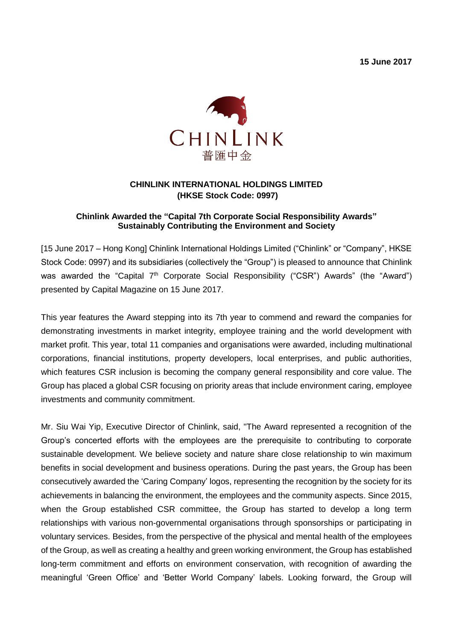**15 June 2017**



## **CHINLINK INTERNATIONAL HOLDINGS LIMITED (HKSE Stock Code: 0997)**

## **Chinlink Awarded the "Capital 7th Corporate Social Responsibility Awards" Sustainably Contributing the Environment and Society**

[15 June 2017 – Hong Kong] Chinlink International Holdings Limited ("Chinlink" or "Company", HKSE Stock Code: 0997) and its subsidiaries (collectively the "Group") is pleased to announce that Chinlink was awarded the "Capital 7<sup>th</sup> Corporate Social Responsibility ("CSR") Awards" (the "Award") presented by Capital Magazine on 15 June 2017.

This year features the Award stepping into its 7th year to commend and reward the companies for demonstrating investments in market integrity, employee training and the world development with market profit. This year, total 11 companies and organisations were awarded, including multinational corporations, financial institutions, property developers, local enterprises, and public authorities, which features CSR inclusion is becoming the company general responsibility and core value. The Group has placed a global CSR focusing on priority areas that include environment caring, employee investments and community commitment.

Mr. Siu Wai Yip, Executive Director of Chinlink, said, "The Award represented a recognition of the Group's concerted efforts with the employees are the prerequisite to contributing to corporate sustainable development. We believe society and nature share close relationship to win maximum benefits in social development and business operations. During the past years, the Group has been consecutively awarded the 'Caring Company' logos, representing the recognition by the society for its achievements in balancing the environment, the employees and the community aspects. Since 2015, when the Group established CSR committee, the Group has started to develop a long term relationships with various non-governmental organisations through sponsorships or participating in voluntary services. Besides, from the perspective of the physical and mental health of the employees of the Group, as well as creating a healthy and green working environment, the Group has established long-term commitment and efforts on environment conservation, with recognition of awarding the meaningful 'Green Office' and 'Better World Company' labels. Looking forward, the Group will